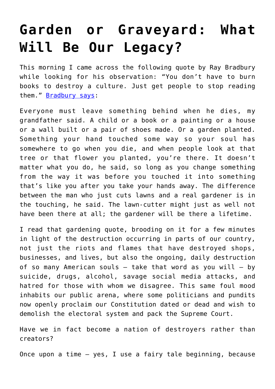## **[Garden or Graveyard: What](https://intellectualtakeout.org/2020/09/garden-or-graveyard-what-will-be-our-legacy/) [Will Be Our Legacy?](https://intellectualtakeout.org/2020/09/garden-or-graveyard-what-will-be-our-legacy/)**

This morning I came across the following quote by Ray Bradbury while looking for his observation: "You don't have to burn books to destroy a culture. Just get people to stop reading them." [Bradbury says](https://www.amazon.com/gp/product/1451673310/ref=as_li_qf_asin_il_tl?ie=UTF8&tag=intelltakeo0d-20&creative=9325&linkCode=as2&creativeASIN=1451673310&linkId=5bbc677f90c4309454b7a1db72dc38d6):

Everyone must leave something behind when he dies, my grandfather said. A child or a book or a painting or a house or a wall built or a pair of shoes made. Or a garden planted. Something your hand touched some way so your soul has somewhere to go when you die, and when people look at that tree or that flower you planted, you're there. It doesn't matter what you do, he said, so long as you change something from the way it was before you touched it into something that's like you after you take your hands away. The difference between the man who just cuts lawns and a real gardener is in the touching, he said. The lawn-cutter might just as well not have been there at all; the gardener will be there a lifetime.

I read that gardening quote, brooding on it for a few minutes in light of the destruction occurring in parts of our country, not just the riots and flames that have destroyed shops, businesses, and lives, but also the ongoing, daily destruction of so many American souls  $-$  take that word as you will  $-$  by suicide, drugs, alcohol, savage social media attacks, and hatred for those with whom we disagree. This same foul mood inhabits our public arena, where some politicians and pundits now openly proclaim our Constitution dated or dead and wish to demolish the electoral system and pack the Supreme Court.

Have we in fact become a nation of destroyers rather than creators?

Once upon a time – yes, I use a fairy tale beginning, because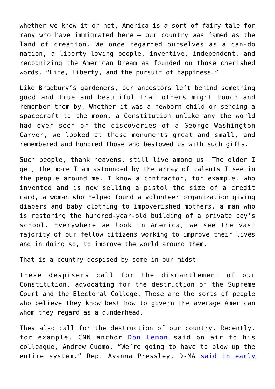whether we know it or not, America is a sort of fairy tale for many who have immigrated here – our country was famed as the land of creation. We once regarded ourselves as a can-do nation, a liberty-loving people, inventive, independent, and recognizing the American Dream as founded on those cherished words, "Life, liberty, and the pursuit of happiness."

Like Bradbury's gardeners, our ancestors left behind something good and true and beautiful that others might touch and remember them by. Whether it was a newborn child or sending a spacecraft to the moon, a Constitution unlike any the world had ever seen or the discoveries of a George Washington Carver, we looked at these monuments great and small, and remembered and honored those who bestowed us with such gifts.

Such people, thank heavens, still live among us. The older I get, the more I am astounded by the array of talents I see in the people around me. I know a contractor, for example, who invented and is now selling a pistol the size of a credit card, a woman who helped found a volunteer organization giving diapers and baby clothing to impoverished mothers, a man who is restoring the hundred-year-old building of a private boy's school. Everywhere we look in America, we see the vast majority of our fellow citizens working to improve their lives and in doing so, to improve the world around them.

That is a country despised by some in our midst.

These despisers call for the dismantlement of our Constitution, advocating for the destruction of the Supreme Court and the Electoral College. These are the sorts of people who believe they know best how to govern the average American whom they regard as a dunderhead.

They also call for the destruction of our country. Recently, for example, CNN anchor **[Don Lemon](https://www.foxnews.com/media/cnns-don-lemon-suggests-to-blow-up-the-entire-system-get-rid-of-electoral-college-stack-the-courts)** said on air to his colleague, Andrew Cuomo, "We're going to have to blow up the entire system." Rep. Ayanna Pressley, D-MA [said in early](https://www.washingtontimes.com/news/2020/aug/17/ayanna-pressley-calls-for-unrest-in-the-streets-ah/)